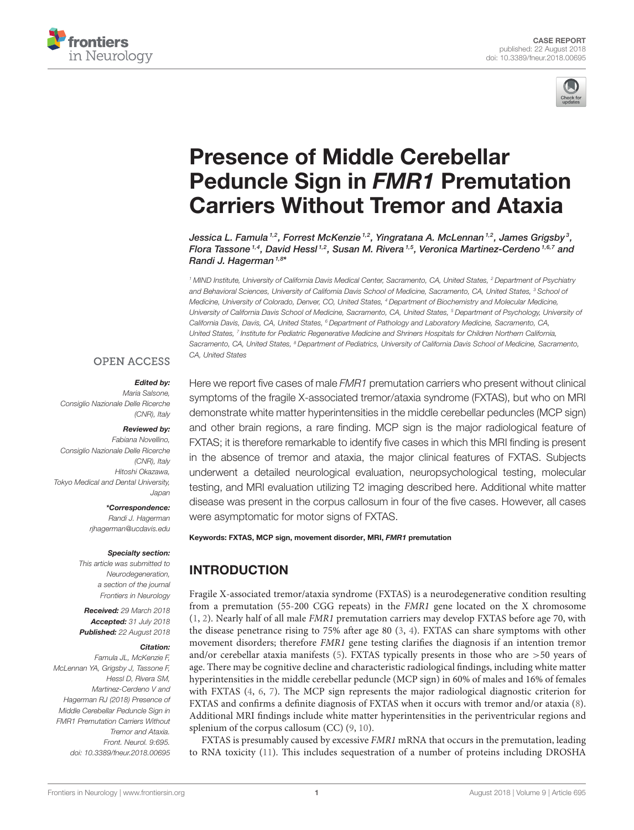



# Presence of Middle Cerebellar Peduncle Sign in FMR1 Premutation [Carriers Without Tremor and Ataxia](https://www.frontiersin.org/articles/10.3389/fneur.2018.00695/full)

[Jessica L. Famula](http://loop.frontiersin.org/people/496156/overview)  $^{1,2}$ , [Forrest McKenzie](http://loop.frontiersin.org/people/534518/overview)  $^{1,2}$ , [Yingratana A. McLennan](http://loop.frontiersin.org/people/599643/overview)  $^{1,2}$ , [James Grigsby](http://loop.frontiersin.org/people/538627/overview)  $^3$ , [Flora Tassone](http://loop.frontiersin.org/people/164335/overview)<sup>1,4</sup>, [David Hessl](http://loop.frontiersin.org/people/67089/overview)<sup>1,2</sup>, [Susan M. Rivera](http://loop.frontiersin.org/people/7077/overview)<sup>1,5</sup>, [Veronica Martinez-Cerdeno](http://loop.frontiersin.org/people/4136/overview)<sup>1,6,7</sup> and [Randi J. Hagerman](http://loop.frontiersin.org/people/415286/overview) 1,8\*

*<sup>1</sup> MIND Institute, University of California Davis Medical Center, Sacramento, CA, United States, <sup>2</sup> Department of Psychiatry and Behavioral Sciences, University of California Davis School of Medicine, Sacramento, CA, United States, <sup>3</sup> School of Medicine, University of Colorado, Denver, CO, United States, <sup>4</sup> Department of Biochemistry and Molecular Medicine, University of California Davis School of Medicine, Sacramento, CA, United States, <sup>5</sup> Department of Psychology, University of California Davis, Davis, CA, United States, <sup>6</sup> Department of Pathology and Laboratory Medicine, Sacramento, CA, United States, <sup>7</sup> Institute for Pediatric Regenerative Medicine and Shriners Hospitals for Children Northern California, Sacramento, CA, United States, <sup>8</sup> Department of Pediatrics, University of California Davis School of Medicine, Sacramento, CA, United States*

### **OPEN ACCESS**

#### Edited by:

*Maria Salsone, Consiglio Nazionale Delle Ricerche (CNR), Italy*

#### Reviewed by:

*Fabiana Novellino, Consiglio Nazionale Delle Ricerche (CNR), Italy Hitoshi Okazawa, Tokyo Medical and Dental University, Japan*

> \*Correspondence: *Randi J. Hagerman [rjhagerman@ucdavis.edu](mailto:rjhagerman@ucdavis.edu)*

#### Specialty section:

*This article was submitted to Neurodegeneration, a section of the journal Frontiers in Neurology*

Received: *29 March 2018* Accepted: *31 July 2018* Published: *22 August 2018*

#### Citation:

*Famula JL, McKenzie F, McLennan YA, Grigsby J, Tassone F, Hessl D, Rivera SM, Martinez-Cerdeno V and Hagerman RJ (2018) Presence of Middle Cerebellar Peduncle Sign in FMR1 Premutation Carriers Without Tremor and Ataxia. Front. Neurol. 9:695. doi: [10.3389/fneur.2018.00695](https://doi.org/10.3389/fneur.2018.00695)* Here we report five cases of male *FMR1* premutation carriers who present without clinical symptoms of the fragile X-associated tremor/ataxia syndrome (FXTAS), but who on MRI demonstrate white matter hyperintensities in the middle cerebellar peduncles (MCP sign) and other brain regions, a rare finding. MCP sign is the major radiological feature of FXTAS; it is therefore remarkable to identify five cases in which this MRI finding is present in the absence of tremor and ataxia, the major clinical features of FXTAS. Subjects underwent a detailed neurological evaluation, neuropsychological testing, molecular testing, and MRI evaluation utilizing T2 imaging described here. Additional white matter disease was present in the corpus callosum in four of the five cases. However, all cases were asymptomatic for motor signs of FXTAS.

Keywords: FXTAS, MCP sign, movement disorder, MRI, FMR1 premutation

# INTRODUCTION

Fragile X-associated tremor/ataxia syndrome (FXTAS) is a neurodegenerative condition resulting from a premutation (55-200 CGG repeats) in the FMR1 gene located on the X chromosome [\(1,](#page-4-0) [2\)](#page-4-1). Nearly half of all male FMR1 premutation carriers may develop FXTAS before age 70, with the disease penetrance rising to 75% after age 80 [\(3,](#page-4-2) [4\)](#page-4-3). FXTAS can share symptoms with other movement disorders; therefore FMR1 gene testing clarifies the diagnosis if an intention tremor and/or cerebellar ataxia manifests  $(5)$ . FXTAS typically presents in those who are  $>50$  years of age. There may be cognitive decline and characteristic radiological findings, including white matter hyperintensities in the middle cerebellar peduncle (MCP sign) in 60% of males and 16% of females with FXTAS [\(4,](#page-4-3) [6,](#page-4-5) [7\)](#page-4-6). The MCP sign represents the major radiological diagnostic criterion for FXTAS and confirms a definite diagnosis of FXTAS when it occurs with tremor and/or ataxia [\(8\)](#page-4-7). Additional MRI findings include white matter hyperintensities in the periventricular regions and splenium of the corpus callosum (CC) [\(9,](#page-4-8) [10\)](#page-4-9).

FXTAS is presumably caused by excessive FMR1 mRNA that occurs in the premutation, leading to RNA toxicity [\(11\)](#page-4-10). This includes sequestration of a number of proteins including DROSHA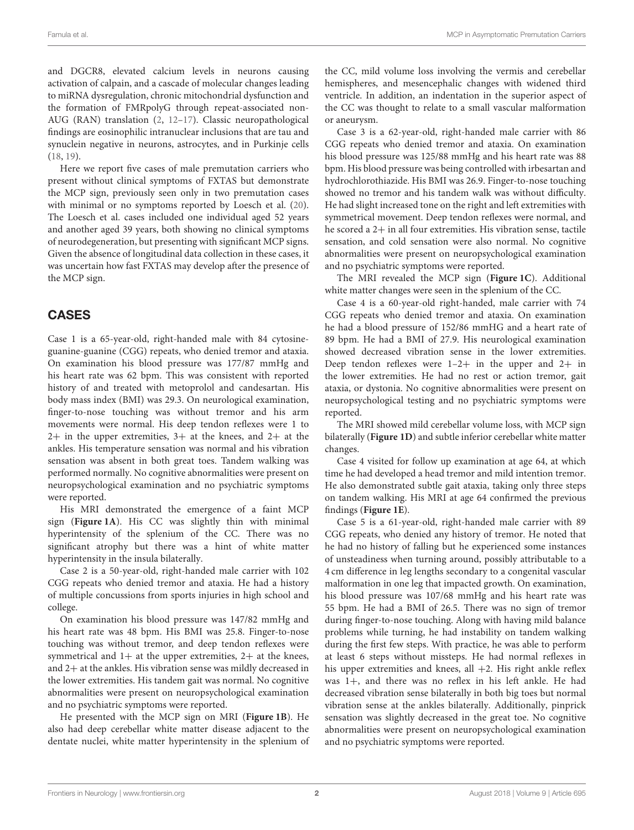and DGCR8, elevated calcium levels in neurons causing activation of calpain, and a cascade of molecular changes leading to miRNA dysregulation, chronic mitochondrial dysfunction and the formation of FMRpolyG through repeat-associated non-AUG (RAN) translation [\(2,](#page-4-1) [12](#page-4-11)[–17\)](#page-4-12). Classic neuropathological findings are eosinophilic intranuclear inclusions that are tau and synuclein negative in neurons, astrocytes, and in Purkinje cells [\(18,](#page-4-13) [19\)](#page-4-14).

Here we report five cases of male premutation carriers who present without clinical symptoms of FXTAS but demonstrate the MCP sign, previously seen only in two premutation cases with minimal or no symptoms reported by Loesch et al. [\(20\)](#page-4-15). The Loesch et al. cases included one individual aged 52 years and another aged 39 years, both showing no clinical symptoms of neurodegeneration, but presenting with significant MCP signs. Given the absence of longitudinal data collection in these cases, it was uncertain how fast FXTAS may develop after the presence of the MCP sign.

# CASES

Case 1 is a 65-year-old, right-handed male with 84 cytosineguanine-guanine (CGG) repeats, who denied tremor and ataxia. On examination his blood pressure was 177/87 mmHg and his heart rate was 62 bpm. This was consistent with reported history of and treated with metoprolol and candesartan. His body mass index (BMI) was 29.3. On neurological examination, finger-to-nose touching was without tremor and his arm movements were normal. His deep tendon reflexes were 1 to  $2+$  in the upper extremities,  $3+$  at the knees, and  $2+$  at the ankles. His temperature sensation was normal and his vibration sensation was absent in both great toes. Tandem walking was performed normally. No cognitive abnormalities were present on neuropsychological examination and no psychiatric symptoms were reported.

His MRI demonstrated the emergence of a faint MCP sign (**[Figure 1A](#page-2-0)**). His CC was slightly thin with minimal hyperintensity of the splenium of the CC. There was no significant atrophy but there was a hint of white matter hyperintensity in the insula bilaterally.

Case 2 is a 50-year-old, right-handed male carrier with 102 CGG repeats who denied tremor and ataxia. He had a history of multiple concussions from sports injuries in high school and college.

On examination his blood pressure was 147/82 mmHg and his heart rate was 48 bpm. His BMI was 25.8. Finger-to-nose touching was without tremor, and deep tendon reflexes were symmetrical and  $1+$  at the upper extremities,  $2+$  at the knees, and 2+ at the ankles. His vibration sense was mildly decreased in the lower extremities. His tandem gait was normal. No cognitive abnormalities were present on neuropsychological examination and no psychiatric symptoms were reported.

He presented with the MCP sign on MRI (**[Figure 1B](#page-2-0)**). He also had deep cerebellar white matter disease adjacent to the dentate nuclei, white matter hyperintensity in the splenium of the CC, mild volume loss involving the vermis and cerebellar hemispheres, and mesencephalic changes with widened third ventricle. In addition, an indentation in the superior aspect of the CC was thought to relate to a small vascular malformation or aneurysm.

Case 3 is a 62-year-old, right-handed male carrier with 86 CGG repeats who denied tremor and ataxia. On examination his blood pressure was 125/88 mmHg and his heart rate was 88 bpm. His blood pressure was being controlled with irbesartan and hydrochlorothiazide. His BMI was 26.9. Finger-to-nose touching showed no tremor and his tandem walk was without difficulty. He had slight increased tone on the right and left extremities with symmetrical movement. Deep tendon reflexes were normal, and he scored a 2+ in all four extremities. His vibration sense, tactile sensation, and cold sensation were also normal. No cognitive abnormalities were present on neuropsychological examination and no psychiatric symptoms were reported.

The MRI revealed the MCP sign (**[Figure 1C](#page-2-0)**). Additional white matter changes were seen in the splenium of the CC.

Case 4 is a 60-year-old right-handed, male carrier with 74 CGG repeats who denied tremor and ataxia. On examination he had a blood pressure of 152/86 mmHG and a heart rate of 89 bpm. He had a BMI of 27.9. His neurological examination showed decreased vibration sense in the lower extremities. Deep tendon reflexes were  $1-2+$  in the upper and  $2+$  in the lower extremities. He had no rest or action tremor, gait ataxia, or dystonia. No cognitive abnormalities were present on neuropsychological testing and no psychiatric symptoms were reported.

The MRI showed mild cerebellar volume loss, with MCP sign bilaterally (**[Figure 1D](#page-2-0)**) and subtle inferior cerebellar white matter changes.

Case 4 visited for follow up examination at age 64, at which time he had developed a head tremor and mild intention tremor. He also demonstrated subtle gait ataxia, taking only three steps on tandem walking. His MRI at age 64 confirmed the previous findings (**[Figure 1E](#page-2-0)**).

Case 5 is a 61-year-old, right-handed male carrier with 89 CGG repeats, who denied any history of tremor. He noted that he had no history of falling but he experienced some instances of unsteadiness when turning around, possibly attributable to a 4 cm difference in leg lengths secondary to a congenital vascular malformation in one leg that impacted growth. On examination, his blood pressure was 107/68 mmHg and his heart rate was 55 bpm. He had a BMI of 26.5. There was no sign of tremor during finger-to-nose touching. Along with having mild balance problems while turning, he had instability on tandem walking during the first few steps. With practice, he was able to perform at least 6 steps without missteps. He had normal reflexes in his upper extremities and knees, all  $+2$ . His right ankle reflex was 1+, and there was no reflex in his left ankle. He had decreased vibration sense bilaterally in both big toes but normal vibration sense at the ankles bilaterally. Additionally, pinprick sensation was slightly decreased in the great toe. No cognitive abnormalities were present on neuropsychological examination and no psychiatric symptoms were reported.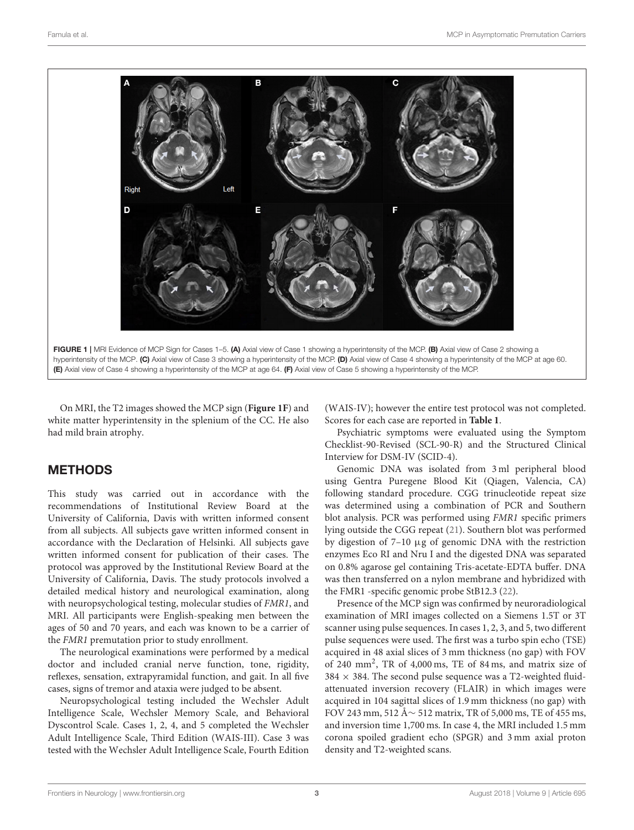

<span id="page-2-0"></span>On MRI, the T2 images showed the MCP sign (**[Figure 1F](#page-2-0)**) and white matter hyperintensity in the splenium of the CC. He also had mild brain atrophy.

# METHODS

This study was carried out in accordance with the recommendations of Institutional Review Board at the University of California, Davis with written informed consent from all subjects. All subjects gave written informed consent in accordance with the Declaration of Helsinki. All subjects gave written informed consent for publication of their cases. The protocol was approved by the Institutional Review Board at the University of California, Davis. The study protocols involved a detailed medical history and neurological examination, along with neuropsychological testing, molecular studies of FMR1, and MRI. All participants were English-speaking men between the ages of 50 and 70 years, and each was known to be a carrier of the FMR1 premutation prior to study enrollment.

The neurological examinations were performed by a medical doctor and included cranial nerve function, tone, rigidity, reflexes, sensation, extrapyramidal function, and gait. In all five cases, signs of tremor and ataxia were judged to be absent.

Neuropsychological testing included the Wechsler Adult Intelligence Scale, Wechsler Memory Scale, and Behavioral Dyscontrol Scale. Cases 1, 2, 4, and 5 completed the Wechsler Adult Intelligence Scale, Third Edition (WAIS-III). Case 3 was tested with the Wechsler Adult Intelligence Scale, Fourth Edition (WAIS-IV); however the entire test protocol was not completed. Scores for each case are reported in **[Table 1](#page-3-0)**.

Psychiatric symptoms were evaluated using the Symptom Checklist-90-Revised (SCL-90-R) and the Structured Clinical Interview for DSM-IV (SCID-4).

Genomic DNA was isolated from 3 ml peripheral blood using Gentra Puregene Blood Kit (Qiagen, Valencia, CA) following standard procedure. CGG trinucleotide repeat size was determined using a combination of PCR and Southern blot analysis. PCR was performed using FMR1 specific primers lying outside the CGG repeat [\(21\)](#page-4-16). Southern blot was performed by digestion of  $7-10 \mu$ g of genomic DNA with the restriction enzymes Eco RI and Nru I and the digested DNA was separated on 0.8% agarose gel containing Tris-acetate-EDTA buffer. DNA was then transferred on a nylon membrane and hybridized with the FMR1 -specific genomic probe StB12.3 [\(22\)](#page-4-17).

Presence of the MCP sign was confirmed by neuroradiological examination of MRI images collected on a Siemens 1.5T or 3T scanner using pulse sequences. In cases 1, 2, 3, and 5, two different pulse sequences were used. The first was a turbo spin echo (TSE) acquired in 48 axial slices of 3 mm thickness (no gap) with FOV of 240 mm<sup>2</sup> , TR of 4,000 ms, TE of 84 ms, and matrix size of  $384 \times 384$ . The second pulse sequence was a T2-weighted fluidattenuated inversion recovery (FLAIR) in which images were acquired in 104 sagittal slices of 1.9 mm thickness (no gap) with FOV 243 mm, 512 Å∼ 512 matrix, TR of 5,000 ms, TE of 455 ms, and inversion time 1,700 ms. In case 4, the MRI included 1.5 mm corona spoiled gradient echo (SPGR) and 3 mm axial proton density and T2-weighted scans.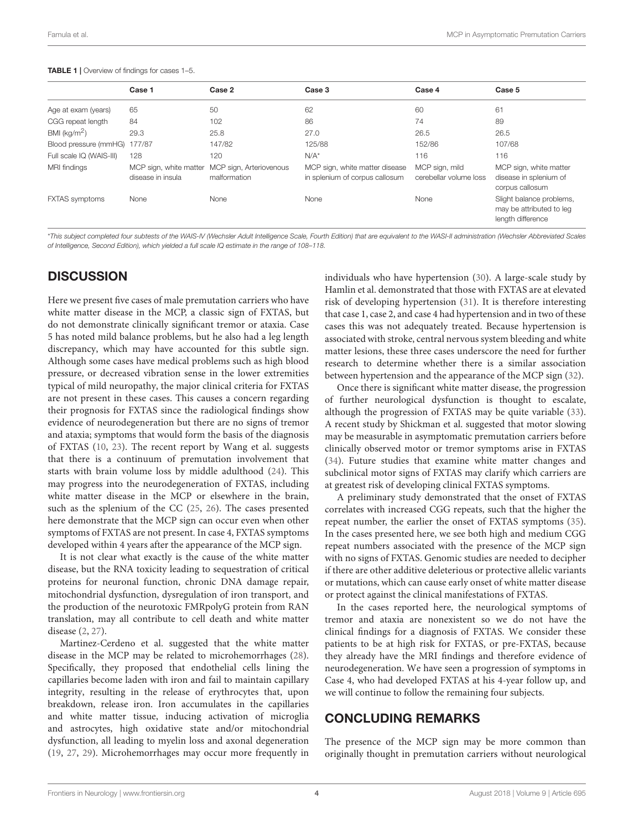#### Famula et al. **MCP** in Asymptomatic Premutation Carriers **Carriers MCP** in Asymptomatic Premutation Carriers

|                          | Case 1                                      | Case 2                                  | Case 3                                                           | Case 4                                   | Case 5                                                                    |
|--------------------------|---------------------------------------------|-----------------------------------------|------------------------------------------------------------------|------------------------------------------|---------------------------------------------------------------------------|
| Age at exam (years)      | 65                                          | 50                                      | 62                                                               | 60                                       | 61                                                                        |
| CGG repeat length        | 84                                          | 102                                     | 86                                                               | 74                                       | 89                                                                        |
| BMI ( $kg/m2$ )          | 29.3                                        | 25.8                                    | 27.0                                                             | 26.5                                     | 26.5                                                                      |
| Blood pressure (mmHG)    | 177/87                                      | 147/82                                  | 125/88                                                           | 152/86                                   | 107/68                                                                    |
| Full scale IQ (WAIS-III) | 128                                         | 120                                     | $N/A^*$                                                          | 116                                      | 116                                                                       |
| MRI findings             | MCP sign, white matter<br>disease in insula | MCP sign, Arteriovenous<br>malformation | MCP sign, white matter disease<br>in splenium of corpus callosum | MCP sign, mild<br>cerebellar volume loss | MCP sign, white matter<br>disease in splenium of<br>corpus callosum       |
| <b>FXTAS</b> symptoms    | None                                        | None                                    | None                                                             | None                                     | Slight balance problems,<br>may be attributed to leg<br>length difference |

<span id="page-3-0"></span>TABLE 1 | Overview of findings for cases 1-5.

\**This subject completed four subtests of the WAIS-IV (Wechsler Adult Intelligence Scale, Fourth Edition) that are equivalent to the WASI-II administration (Wechsler Abbreviated Scales of Intelligence, Second Edition), which yielded a full scale IQ estimate in the range of 108–118.*

## **DISCUSSION**

Here we present five cases of male premutation carriers who have white matter disease in the MCP, a classic sign of FXTAS, but do not demonstrate clinically significant tremor or ataxia. Case 5 has noted mild balance problems, but he also had a leg length discrepancy, which may have accounted for this subtle sign. Although some cases have medical problems such as high blood pressure, or decreased vibration sense in the lower extremities typical of mild neuropathy, the major clinical criteria for FXTAS are not present in these cases. This causes a concern regarding their prognosis for FXTAS since the radiological findings show evidence of neurodegeneration but there are no signs of tremor and ataxia; symptoms that would form the basis of the diagnosis of FXTAS [\(10,](#page-4-9) [23\)](#page-5-0). The recent report by Wang et al. suggests that there is a continuum of premutation involvement that starts with brain volume loss by middle adulthood [\(24\)](#page-5-1). This may progress into the neurodegeneration of FXTAS, including white matter disease in the MCP or elsewhere in the brain, such as the splenium of the CC [\(25,](#page-5-2) [26\)](#page-5-3). The cases presented here demonstrate that the MCP sign can occur even when other symptoms of FXTAS are not present. In case 4, FXTAS symptoms developed within 4 years after the appearance of the MCP sign.

It is not clear what exactly is the cause of the white matter disease, but the RNA toxicity leading to sequestration of critical proteins for neuronal function, chronic DNA damage repair, mitochondrial dysfunction, dysregulation of iron transport, and the production of the neurotoxic FMRpolyG protein from RAN translation, may all contribute to cell death and white matter disease [\(2,](#page-4-1) [27\)](#page-5-4).

Martinez-Cerdeno et al. suggested that the white matter disease in the MCP may be related to microhemorrhages [\(28\)](#page-5-5). Specifically, they proposed that endothelial cells lining the capillaries become laden with iron and fail to maintain capillary integrity, resulting in the release of erythrocytes that, upon breakdown, release iron. Iron accumulates in the capillaries and white matter tissue, inducing activation of microglia and astrocytes, high oxidative state and/or mitochondrial dysfunction, all leading to myelin loss and axonal degeneration [\(19,](#page-4-14) [27,](#page-5-4) [29\)](#page-5-6). Microhemorrhages may occur more frequently in individuals who have hypertension [\(30\)](#page-5-7). A large-scale study by Hamlin et al. demonstrated that those with FXTAS are at elevated risk of developing hypertension [\(31\)](#page-5-8). It is therefore interesting that case 1, case 2, and case 4 had hypertension and in two of these cases this was not adequately treated. Because hypertension is associated with stroke, central nervous system bleeding and white matter lesions, these three cases underscore the need for further research to determine whether there is a similar association between hypertension and the appearance of the MCP sign [\(32\)](#page-5-9).

Once there is significant white matter disease, the progression of further neurological dysfunction is thought to escalate, although the progression of FXTAS may be quite variable [\(33\)](#page-5-10). A recent study by Shickman et al. suggested that motor slowing may be measurable in asymptomatic premutation carriers before clinically observed motor or tremor symptoms arise in FXTAS [\(34\)](#page-5-11). Future studies that examine white matter changes and subclinical motor signs of FXTAS may clarify which carriers are at greatest risk of developing clinical FXTAS symptoms.

A preliminary study demonstrated that the onset of FXTAS correlates with increased CGG repeats, such that the higher the repeat number, the earlier the onset of FXTAS symptoms [\(35\)](#page-5-12). In the cases presented here, we see both high and medium CGG repeat numbers associated with the presence of the MCP sign with no signs of FXTAS. Genomic studies are needed to decipher if there are other additive deleterious or protective allelic variants or mutations, which can cause early onset of white matter disease or protect against the clinical manifestations of FXTAS.

In the cases reported here, the neurological symptoms of tremor and ataxia are nonexistent so we do not have the clinical findings for a diagnosis of FXTAS. We consider these patients to be at high risk for FXTAS, or pre-FXTAS, because they already have the MRI findings and therefore evidence of neurodegeneration. We have seen a progression of symptoms in Case 4, who had developed FXTAS at his 4-year follow up, and we will continue to follow the remaining four subjects.

### CONCLUDING REMARKS

The presence of the MCP sign may be more common than originally thought in premutation carriers without neurological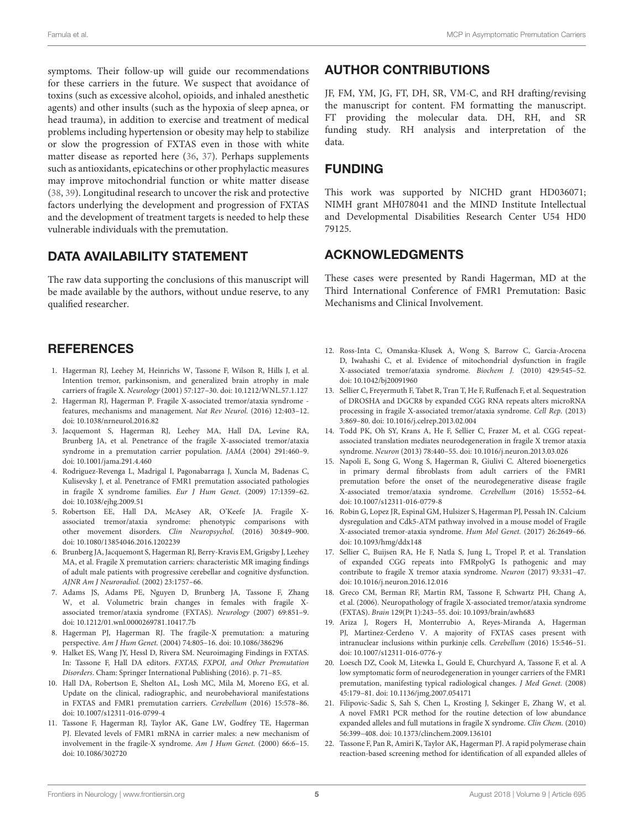symptoms. Their follow-up will guide our recommendations for these carriers in the future. We suspect that avoidance of toxins (such as excessive alcohol, opioids, and inhaled anesthetic agents) and other insults (such as the hypoxia of sleep apnea, or head trauma), in addition to exercise and treatment of medical problems including hypertension or obesity may help to stabilize or slow the progression of FXTAS even in those with white matter disease as reported here [\(36,](#page-5-13) [37\)](#page-5-14). Perhaps supplements such as antioxidants, epicatechins or other prophylactic measures may improve mitochondrial function or white matter disease [\(38,](#page-5-15) [39\)](#page-5-16). Longitudinal research to uncover the risk and protective factors underlying the development and progression of FXTAS and the development of treatment targets is needed to help these vulnerable individuals with the premutation.

# DATA AVAILABILITY STATEMENT

The raw data supporting the conclusions of this manuscript will be made available by the authors, without undue reserve, to any qualified researcher.

# **REFERENCES**

- <span id="page-4-0"></span>1. Hagerman RJ, Leehey M, Heinrichs W, Tassone F, Wilson R, Hills J, et al. Intention tremor, parkinsonism, and generalized brain atrophy in male carriers of fragile X. Neurology (2001) 57:127–30. doi: [10.1212/WNL.57.1.127](https://doi.org/10.1212/WNL.57.1.127)
- <span id="page-4-1"></span>2. Hagerman RJ, Hagerman P. Fragile X-associated tremor/ataxia syndrome features, mechanisms and management. Nat Rev Neurol. (2016) 12:403–12. doi: [10.1038/nrneurol.2016.82](https://doi.org/10.1038/nrneurol.2016.82)
- <span id="page-4-2"></span>3. Jacquemont S, Hagerman RJ, Leehey MA, Hall DA, Levine RA, Brunberg JA, et al. Penetrance of the fragile X-associated tremor/ataxia syndrome in a premutation carrier population. JAMA (2004) 291:460–9. doi: [10.1001/jama.291.4.460](https://doi.org/10.1001/jama.291.4.460)
- <span id="page-4-3"></span>4. Rodriguez-Revenga L, Madrigal I, Pagonabarraga J, Xuncla M, Badenas C, Kulisevsky J, et al. Penetrance of FMR1 premutation associated pathologies in fragile X syndrome families. Eur J Hum Genet. (2009) 17:1359–62. doi: [10.1038/ejhg.2009.51](https://doi.org/10.1038/ejhg.2009.51)
- <span id="page-4-4"></span>5. Robertson EE, Hall DA, McAsey AR, O'Keefe JA. Fragile Xassociated tremor/ataxia syndrome: phenotypic comparisons with other movement disorders. Clin Neuropsychol. (2016) 30:849–900. doi: [10.1080/13854046.2016.1202239](https://doi.org/10.1080/13854046.2016.1202239)
- <span id="page-4-5"></span>6. Brunberg JA, Jacquemont S, Hagerman RJ, Berry-Kravis EM, Grigsby J, Leehey MA, et al. Fragile X premutation carriers: characteristic MR imaging findings of adult male patients with progressive cerebellar and cognitive dysfunction. AJNR Am J Neuroradiol. (2002) 23:1757–66.
- <span id="page-4-6"></span>7. Adams JS, Adams PE, Nguyen D, Brunberg JA, Tassone F, Zhang W, et al. Volumetric brain changes in females with fragile Xassociated tremor/ataxia syndrome (FXTAS). Neurology (2007) 69:851–9. doi: [10.1212/01.wnl.0000269781.10417.7b](https://doi.org/10.1212/01.wnl.0000269781.10417.7b)
- <span id="page-4-7"></span>8. Hagerman PJ, Hagerman RJ. The fragile-X premutation: a maturing perspective. Am J Hum Genet. (2004) 74:805–16. doi: [10.1086/386296](https://doi.org/10.1086/386296)
- <span id="page-4-8"></span>Halket ES, Wang JY, Hessl D, Rivera SM. Neuroimaging Findings in FXTAS. In: Tassone F, Hall DA editors. FXTAS, FXPOI, and Other Premutation Disorders. Cham: Springer International Publishing (2016). p. 71–85.
- <span id="page-4-9"></span>10. Hall DA, Robertson E, Shelton AL, Losh MC, Mila M, Moreno EG, et al. Update on the clinical, radiographic, and neurobehavioral manifestations in FXTAS and FMR1 premutation carriers. Cerebellum (2016) 15:578–86. doi: [10.1007/s12311-016-0799-4](https://doi.org/10.1007/s12311-016-0799-4)
- <span id="page-4-10"></span>11. Tassone F, Hagerman RJ, Taylor AK, Gane LW, Godfrey TE, Hagerman PJ. Elevated levels of FMR1 mRNA in carrier males: a new mechanism of involvement in the fragile-X syndrome. Am J Hum Genet. (2000) 66:6–15. doi: [10.1086/302720](https://doi.org/10.1086/302720)

# AUTHOR CONTRIBUTIONS

JF, FM, YM, JG, FT, DH, SR, VM-C, and RH drafting/revising the manuscript for content. FM formatting the manuscript. FT providing the molecular data. DH, RH, and SR funding study. RH analysis and interpretation of the data.

# FUNDING

This work was supported by NICHD grant HD036071; NIMH grant MH078041 and the MIND Institute Intellectual and Developmental Disabilities Research Center U54 HD0 79125.

### ACKNOWLEDGMENTS

These cases were presented by Randi Hagerman, MD at the Third International Conference of FMR1 Premutation: Basic Mechanisms and Clinical Involvement.

- <span id="page-4-11"></span>12. Ross-Inta C, Omanska-Klusek A, Wong S, Barrow C, Garcia-Arocena D, Iwahashi C, et al. Evidence of mitochondrial dysfunction in fragile X-associated tremor/ataxia syndrome. Biochem J. (2010) 429:545–52. doi: [10.1042/bj20091960](https://doi.org/10.1042/bj20091960)
- 13. Sellier C, Freyermuth F, Tabet R, Tran T, He F, Ruffenach F, et al. Sequestration of DROSHA and DGCR8 by expanded CGG RNA repeats alters microRNA processing in fragile X-associated tremor/ataxia syndrome. Cell Rep. (2013) 3:869–80. doi: [10.1016/j.celrep.2013.02.004](https://doi.org/10.1016/j.celrep.2013.02.004)
- 14. Todd PK, Oh SY, Krans A, He F, Sellier C, Frazer M, et al. CGG repeatassociated translation mediates neurodegeneration in fragile X tremor ataxia syndrome. Neuron (2013) 78:440–55. doi: [10.1016/j.neuron.2013.03.026](https://doi.org/10.1016/j.neuron.2013.03.026)
- 15. Napoli E, Song G, Wong S, Hagerman R, Giulivi C. Altered bioenergetics in primary dermal fibroblasts from adult carriers of the FMR1 premutation before the onset of the neurodegenerative disease fragile X-associated tremor/ataxia syndrome. Cerebellum (2016) 15:552–64. doi: [10.1007/s12311-016-0779-8](https://doi.org/10.1007/s12311-016-0779-8)
- 16. Robin G, Lopez JR, Espinal GM, Hulsizer S, Hagerman PJ, Pessah IN. Calcium dysregulation and Cdk5-ATM pathway involved in a mouse model of Fragile X-associated tremor-ataxia syndrome. Hum Mol Genet. (2017) 26:2649–66. doi: [10.1093/hmg/ddx148](https://doi.org/10.1093/hmg/ddx148)
- <span id="page-4-12"></span>17. Sellier C, Buijsen RA, He F, Natla S, Jung L, Tropel P, et al. Translation of expanded CGG repeats into FMRpolyG Is pathogenic and may contribute to fragile X tremor ataxia syndrome. Neuron (2017) 93:331–47. doi: [10.1016/j.neuron.2016.12.016](https://doi.org/10.1016/j.neuron.2016.12.016)
- <span id="page-4-13"></span>18. Greco CM, Berman RF, Martin RM, Tassone F, Schwartz PH, Chang A, et al. (2006). Neuropathology of fragile X-associated tremor/ataxia syndrome (FXTAS). Brain 129(Pt 1):243–55. doi: [10.1093/brain/awh683](https://doi.org/10.1093/brain/awh683)
- <span id="page-4-14"></span>19. Ariza J, Rogers H, Monterrubio A, Reyes-Miranda A, Hagerman PJ, Martinez-Cerdeno V. A majority of FXTAS cases present with intranuclear inclusions within purkinje cells. Cerebellum (2016) 15:546–51. doi: [10.1007/s12311-016-0776-y](https://doi.org/10.1007/s12311-016-0776-y)
- <span id="page-4-15"></span>20. Loesch DZ, Cook M, Litewka L, Gould E, Churchyard A, Tassone F, et al. A low symptomatic form of neurodegeneration in younger carriers of the FMR1 premutation, manifesting typical radiological changes. J Med Genet. (2008) 45:179–81. doi: [10.1136/jmg.2007.054171](https://doi.org/10.1136/jmg.2007.054171)
- <span id="page-4-16"></span>21. Filipovic-Sadic S, Sah S, Chen L, Krosting J, Sekinger E, Zhang W, et al. A novel FMR1 PCR method for the routine detection of low abundance expanded alleles and full mutations in fragile X syndrome. Clin Chem. (2010) 56:399–408. doi: [10.1373/clinchem.2009.136101](https://doi.org/10.1373/clinchem.2009.136101)
- <span id="page-4-17"></span>22. Tassone F, Pan R, Amiri K, Taylor AK, Hagerman PJ. A rapid polymerase chain reaction-based screening method for identification of all expanded alleles of